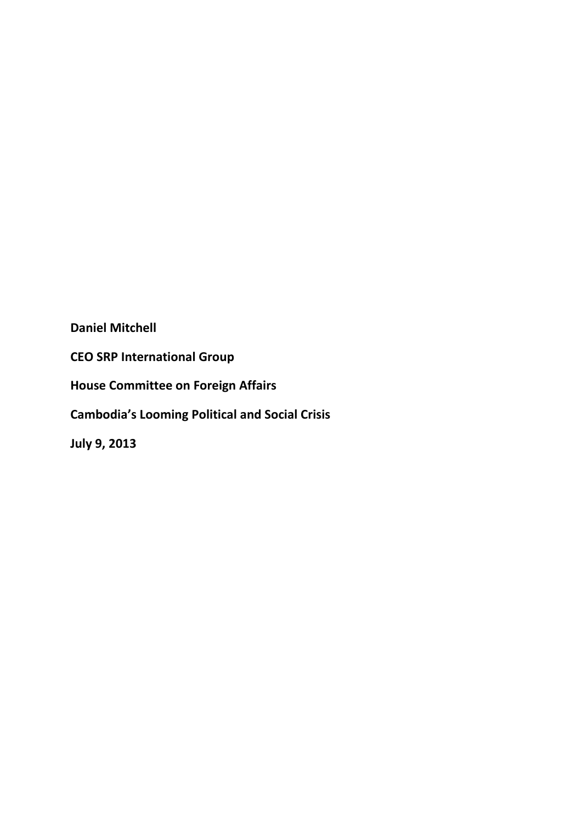**Daniel Mitchell**

**CEO SRP International Group**

**House Committee on Foreign Affairs**

**Cambodia's Looming Political and Social Crisis**

**July 9, 2013**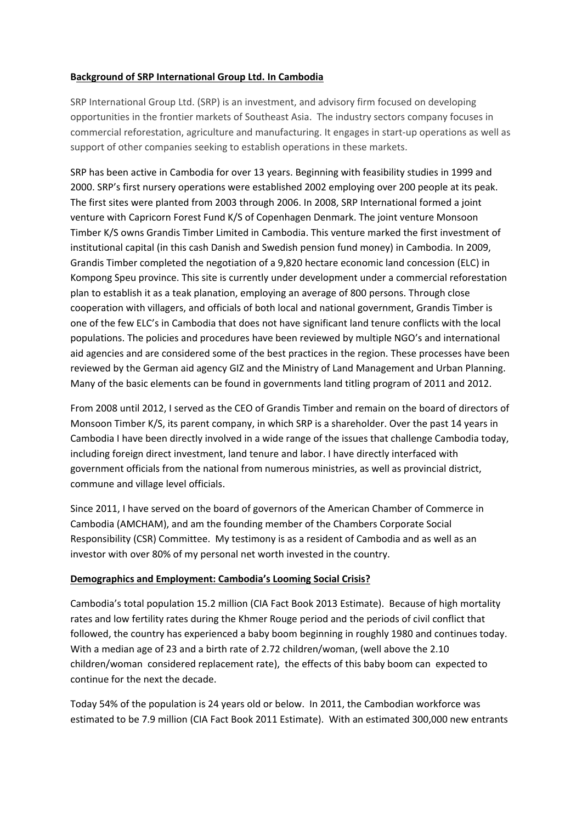### **Background of SRP International Group Ltd. In Cambodia**

SRP International Group Ltd. (SRP) is an investment, and advisory firm focused on developing opportunities in the frontier markets of Southeast Asia. The industry sectors company focuses in commercial reforestation, agriculture and manufacturing. It engages in start-up operations as well as support of other companies seeking to establish operations in these markets.

SRP has been active in Cambodia for over 13 years. Beginning with feasibility studies in 1999 and 2000. SRP's first nursery operations were established 2002 employing over 200 people at its peak. The first sites were planted from 2003 through 2006. In 2008, SRP International formed a joint venture with Capricorn Forest Fund K/S of Copenhagen Denmark. The joint venture Monsoon Timber K/S owns Grandis Timber Limited in Cambodia. This venture marked the first investment of institutional capital (in this cash Danish and Swedish pension fund money) in Cambodia. In 2009, Grandis Timber completed the negotiation of a 9,820 hectare economic land concession (ELC) in Kompong Speu province. This site is currently under development under a commercial reforestation plan to establish it as a teak planation, employing an average of 800 persons. Through close cooperation with villagers, and officials of both local and national government, Grandis Timber is one of the few ELC's in Cambodia that does not have significant land tenure conflicts with the local populations. The policies and procedures have been reviewed by multiple NGO's and international aid agencies and are considered some of the best practices in the region. These processes have been reviewed by the German aid agency GIZ and the Ministry of Land Management and Urban Planning. Many of the basic elements can be found in governments land titling program of 2011 and 2012.

From 2008 until 2012, I served as the CEO of Grandis Timber and remain on the board of directors of Monsoon Timber K/S, its parent company, in which SRP is a shareholder. Over the past 14 years in Cambodia I have been directly involved in a wide range of the issues that challenge Cambodia today, including foreign direct investment, land tenure and labor. I have directly interfaced with government officials from the national from numerous ministries, as well as provincial district, commune and village level officials.

Since 2011, I have served on the board of governors of the American Chamber of Commerce in Cambodia (AMCHAM), and am the founding member of the Chambers Corporate Social Responsibility (CSR) Committee. My testimony is as a resident of Cambodia and as well as an investor with over 80% of my personal net worth invested in the country.

# **Demographics and Employment: Cambodia's Looming Social Crisis?**

Cambodia's total population 15.2 million (CIA Fact Book 2013 Estimate). Because of high mortality rates and low fertility rates during the Khmer Rouge period and the periods of civil conflict that followed, the country has experienced a baby boom beginning in roughly 1980 and continues today. With a median age of 23 and a birth rate of 2.72 children/woman, (well above the 2.10 children/woman considered replacement rate), the effects of this baby boom can expected to continue for the next the decade.

Today 54% of the population is 24 years old or below. In 2011, the Cambodian workforce was estimated to be 7.9 million (CIA Fact Book 2011 Estimate). With an estimated 300,000 new entrants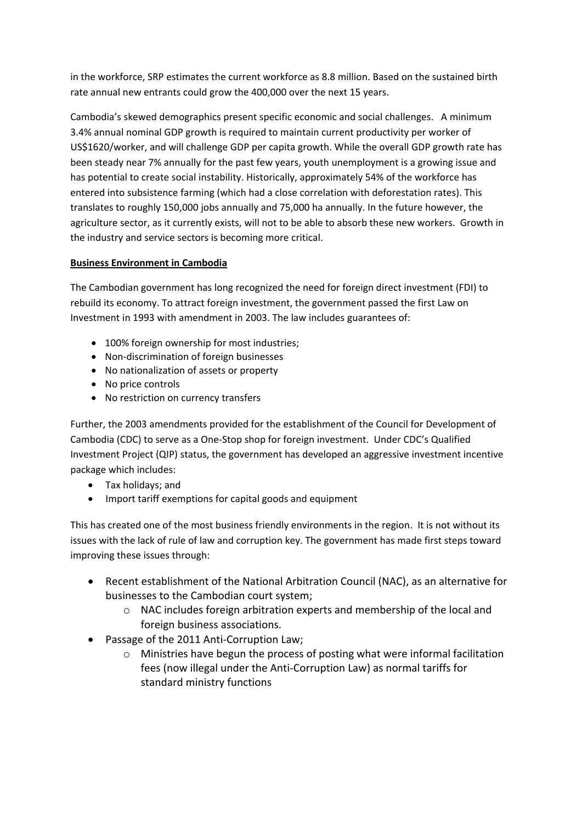in the workforce, SRP estimates the current workforce as 8.8 million. Based on the sustained birth rate annual new entrants could grow the 400,000 over the next 15 years.

Cambodia's skewed demographics present specific economic and social challenges. A minimum 3.4% annual nominal GDP growth is required to maintain current productivity per worker of US\$1620/worker, and will challenge GDP per capita growth. While the overall GDP growth rate has been steady near 7% annually for the past few years, youth unemployment is a growing issue and has potential to create social instability. Historically, approximately 54% of the workforce has entered into subsistence farming (which had a close correlation with deforestation rates). This translates to roughly 150,000 jobs annually and 75,000 ha annually. In the future however, the agriculture sector, as it currently exists, will not to be able to absorb these new workers. Growth in the industry and service sectors is becoming more critical.

# **Business Environment in Cambodia**

The Cambodian government has long recognized the need for foreign direct investment (FDI) to rebuild its economy. To attract foreign investment, the government passed the first Law on Investment in 1993 with amendment in 2003. The law includes guarantees of:

- 100% foreign ownership for most industries;
- Non-discrimination of foreign businesses
- No nationalization of assets or property
- No price controls
- No restriction on currency transfers

Further, the 2003 amendments provided for the establishment of the Council for Development of Cambodia (CDC) to serve as a One-Stop shop for foreign investment. Under CDC's Qualified Investment Project (QIP) status, the government has developed an aggressive investment incentive package which includes:

- Tax holidays; and
- Import tariff exemptions for capital goods and equipment

This has created one of the most business friendly environments in the region. It is not without its issues with the lack of rule of law and corruption key. The government has made first steps toward improving these issues through:

- Recent establishment of the National Arbitration Council (NAC), as an alternative for businesses to the Cambodian court system;
	- o NAC includes foreign arbitration experts and membership of the local and foreign business associations.
- Passage of the 2011 Anti-Corruption Law;
	- o Ministries have begun the process of posting what were informal facilitation fees (now illegal under the Anti-Corruption Law) as normal tariffs for standard ministry functions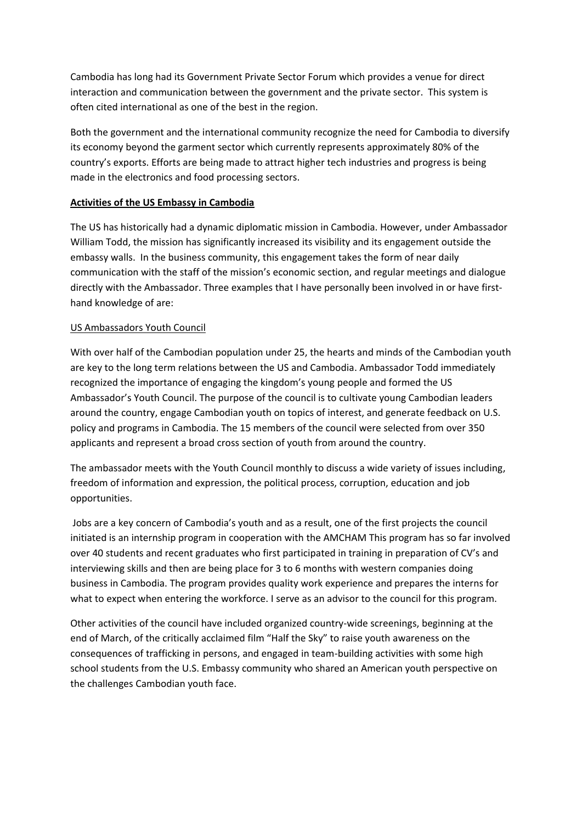Cambodia has long had its Government Private Sector Forum which provides a venue for direct interaction and communication between the government and the private sector. This system is often cited international as one of the best in the region.

Both the government and the international community recognize the need for Cambodia to diversify its economy beyond the garment sector which currently represents approximately 80% of the country's exports. Efforts are being made to attract higher tech industries and progress is being made in the electronics and food processing sectors.

### **Activities of the US Embassy in Cambodia**

The US has historically had a dynamic diplomatic mission in Cambodia. However, under Ambassador William Todd, the mission has significantly increased its visibility and its engagement outside the embassy walls. In the business community, this engagement takes the form of near daily communication with the staff of the mission's economic section, and regular meetings and dialogue directly with the Ambassador. Three examples that I have personally been involved in or have firsthand knowledge of are:

### US Ambassadors Youth Council

With over half of the Cambodian population under 25, the hearts and minds of the Cambodian youth are key to the long term relations between the US and Cambodia. Ambassador Todd immediately recognized the importance of engaging the kingdom's young people and formed the US Ambassador's Youth Council. The purpose of the council is to cultivate young Cambodian leaders around the country, engage Cambodian youth on topics of interest, and generate feedback on U.S. policy and programs in Cambodia. The 15 members of the council were selected from over 350 applicants and represent a broad cross section of youth from around the country.

The ambassador meets with the Youth Council monthly to discuss a wide variety of issues including, freedom of information and expression, the political process, corruption, education and job opportunities.

Jobs are a key concern of Cambodia's youth and as a result, one of the first projects the council initiated is an internship program in cooperation with the AMCHAM This program has so far involved over 40 students and recent graduates who first participated in training in preparation of CV's and interviewing skills and then are being place for 3 to 6 months with western companies doing business in Cambodia. The program provides quality work experience and prepares the interns for what to expect when entering the workforce. I serve as an advisor to the council for this program.

Other activities of the council have included organized country-wide screenings, beginning at the end of March, of the critically acclaimed film "Half the Sky" to raise youth awareness on the consequences of trafficking in persons, and engaged in team-building activities with some high school students from the U.S. Embassy community who shared an American youth perspective on the challenges Cambodian youth face.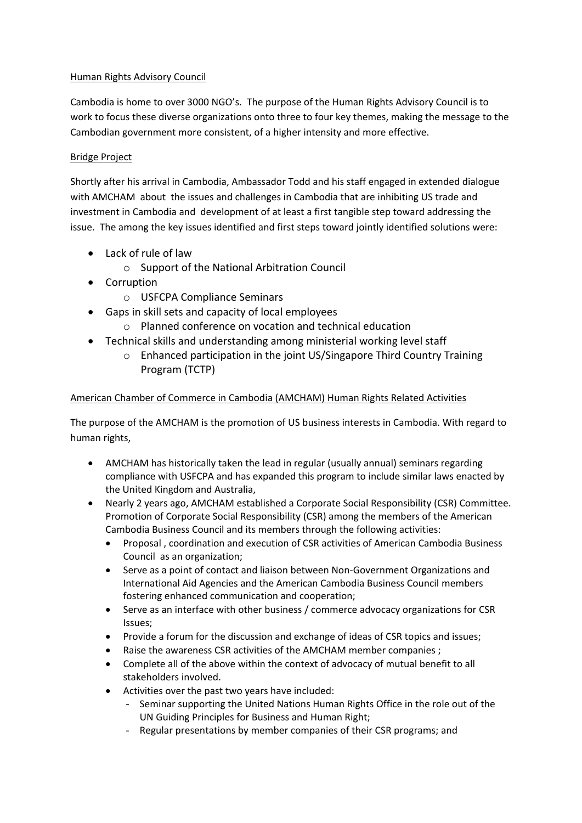# Human Rights Advisory Council

Cambodia is home to over 3000 NGO's. The purpose of the Human Rights Advisory Council is to work to focus these diverse organizations onto three to four key themes, making the message to the Cambodian government more consistent, of a higher intensity and more effective.

# Bridge Project

Shortly after his arrival in Cambodia, Ambassador Todd and his staff engaged in extended dialogue with AMCHAM about the issues and challenges in Cambodia that are inhibiting US trade and investment in Cambodia and development of at least a first tangible step toward addressing the issue. The among the key issues identified and first steps toward jointly identified solutions were:

- Lack of rule of law
	- o Support of the National Arbitration Council
- Corruption
	- o USFCPA Compliance Seminars
- Gaps in skill sets and capacity of local employees
	- o Planned conference on vocation and technical education
- Technical skills and understanding among ministerial working level staff
	- o Enhanced participation in the joint US/Singapore Third Country Training Program (TCTP)

# American Chamber of Commerce in Cambodia (AMCHAM) Human Rights Related Activities

The purpose of the AMCHAM is the promotion of US business interests in Cambodia. With regard to human rights,

- AMCHAM has historically taken the lead in regular (usually annual) seminars regarding compliance with USFCPA and has expanded this program to include similar laws enacted by the United Kingdom and Australia,
- Nearly 2 years ago, AMCHAM established a Corporate Social Responsibility (CSR) Committee. Promotion of Corporate Social Responsibility (CSR) among the members of the American Cambodia Business Council and its members through the following activities:
	- Proposal , coordination and execution of CSR activities of American Cambodia Business Council as an organization;
	- Serve as a point of contact and liaison between Non-Government Organizations and International Aid Agencies and the American Cambodia Business Council members fostering enhanced communication and cooperation;
	- Serve as an interface with other business / commerce advocacy organizations for CSR Issues;
	- Provide a forum for the discussion and exchange of ideas of CSR topics and issues;
	- Raise the awareness CSR activities of the AMCHAM member companies ;
	- Complete all of the above within the context of advocacy of mutual benefit to all stakeholders involved.
	- Activities over the past two years have included:
		- Seminar supporting the United Nations Human Rights Office in the role out of the UN Guiding Principles for Business and Human Right;
		- Regular presentations by member companies of their CSR programs; and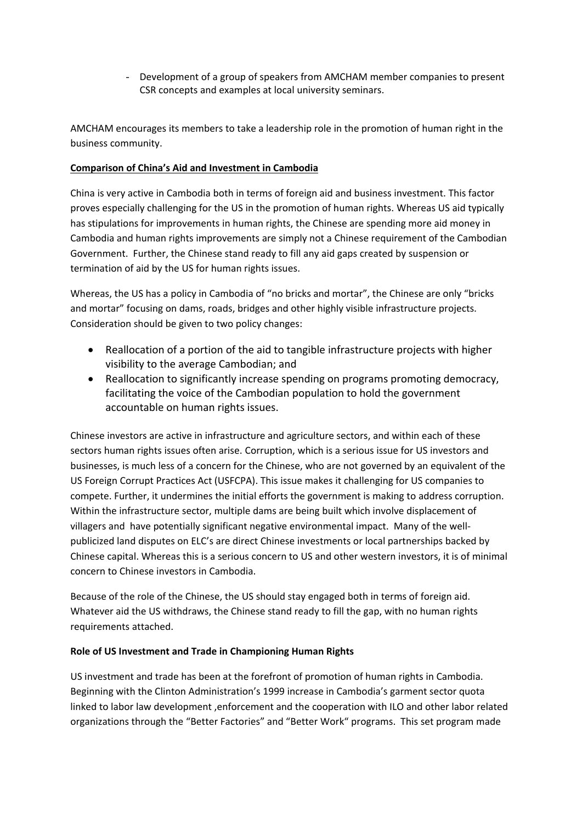- Development of a group of speakers from AMCHAM member companies to present CSR concepts and examples at local university seminars.

AMCHAM encourages its members to take a leadership role in the promotion of human right in the business community.

## **Comparison of China's Aid and Investment in Cambodia**

China is very active in Cambodia both in terms of foreign aid and business investment. This factor proves especially challenging for the US in the promotion of human rights. Whereas US aid typically has stipulations for improvements in human rights, the Chinese are spending more aid money in Cambodia and human rights improvements are simply not a Chinese requirement of the Cambodian Government. Further, the Chinese stand ready to fill any aid gaps created by suspension or termination of aid by the US for human rights issues.

Whereas, the US has a policy in Cambodia of "no bricks and mortar", the Chinese are only "bricks and mortar" focusing on dams, roads, bridges and other highly visible infrastructure projects. Consideration should be given to two policy changes:

- Reallocation of a portion of the aid to tangible infrastructure projects with higher visibility to the average Cambodian; and
- Reallocation to significantly increase spending on programs promoting democracy, facilitating the voice of the Cambodian population to hold the government accountable on human rights issues.

Chinese investors are active in infrastructure and agriculture sectors, and within each of these sectors human rights issues often arise. Corruption, which is a serious issue for US investors and businesses, is much less of a concern for the Chinese, who are not governed by an equivalent of the US Foreign Corrupt Practices Act (USFCPA). This issue makes it challenging for US companies to compete. Further, it undermines the initial efforts the government is making to address corruption. Within the infrastructure sector, multiple dams are being built which involve displacement of villagers and have potentially significant negative environmental impact. Many of the wellpublicized land disputes on ELC's are direct Chinese investments or local partnerships backed by Chinese capital. Whereas this is a serious concern to US and other western investors, it is of minimal concern to Chinese investors in Cambodia.

Because of the role of the Chinese, the US should stay engaged both in terms of foreign aid. Whatever aid the US withdraws, the Chinese stand ready to fill the gap, with no human rights requirements attached.

### **Role of US Investment and Trade in Championing Human Rights**

US investment and trade has been at the forefront of promotion of human rights in Cambodia. Beginning with the Clinton Administration's 1999 increase in Cambodia's garment sector quota linked to labor law development ,enforcement and the cooperation with ILO and other labor related organizations through the "Better Factories" and "Better Work" programs. This set program made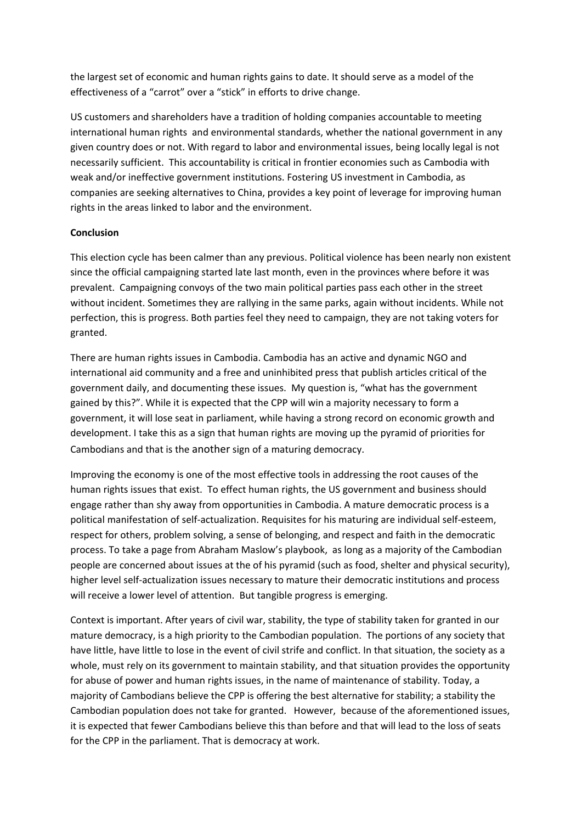the largest set of economic and human rights gains to date. It should serve as a model of the effectiveness of a "carrot" over a "stick" in efforts to drive change.

US customers and shareholders have a tradition of holding companies accountable to meeting international human rights and environmental standards, whether the national government in any given country does or not. With regard to labor and environmental issues, being locally legal is not necessarily sufficient. This accountability is critical in frontier economies such as Cambodia with weak and/or ineffective government institutions. Fostering US investment in Cambodia, as companies are seeking alternatives to China, provides a key point of leverage for improving human rights in the areas linked to labor and the environment.

### **Conclusion**

This election cycle has been calmer than any previous. Political violence has been nearly non existent since the official campaigning started late last month, even in the provinces where before it was prevalent. Campaigning convoys of the two main political parties pass each other in the street without incident. Sometimes they are rallying in the same parks, again without incidents. While not perfection, this is progress. Both parties feel they need to campaign, they are not taking voters for granted.

There are human rights issues in Cambodia. Cambodia has an active and dynamic NGO and international aid community and a free and uninhibited press that publish articles critical of the government daily, and documenting these issues. My question is, "what has the government gained by this?". While it is expected that the CPP will win a majority necessary to form a government, it will lose seat in parliament, while having a strong record on economic growth and development. I take this as a sign that human rights are moving up the pyramid of priorities for Cambodians and that is the another sign of a maturing democracy.

Improving the economy is one of the most effective tools in addressing the root causes of the human rights issues that exist. To effect human rights, the US government and business should engage rather than shy away from opportunities in Cambodia. A mature democratic process is a political manifestation of self-actualization. Requisites for his maturing are individual self-esteem, respect for others, problem solving, a sense of belonging, and respect and faith in the democratic process. To take a page from Abraham Maslow's playbook, as long as a majority of the Cambodian people are concerned about issues at the of his pyramid (such as food, shelter and physical security), higher level self-actualization issues necessary to mature their democratic institutions and process will receive a lower level of attention. But tangible progress is emerging.

Context is important. After years of civil war, stability, the type of stability taken for granted in our mature democracy, is a high priority to the Cambodian population. The portions of any society that have little, have little to lose in the event of civil strife and conflict. In that situation, the society as a whole, must rely on its government to maintain stability, and that situation provides the opportunity for abuse of power and human rights issues, in the name of maintenance of stability. Today, a majority of Cambodians believe the CPP is offering the best alternative for stability; a stability the Cambodian population does not take for granted. However, because of the aforementioned issues, it is expected that fewer Cambodians believe this than before and that will lead to the loss of seats for the CPP in the parliament. That is democracy at work.